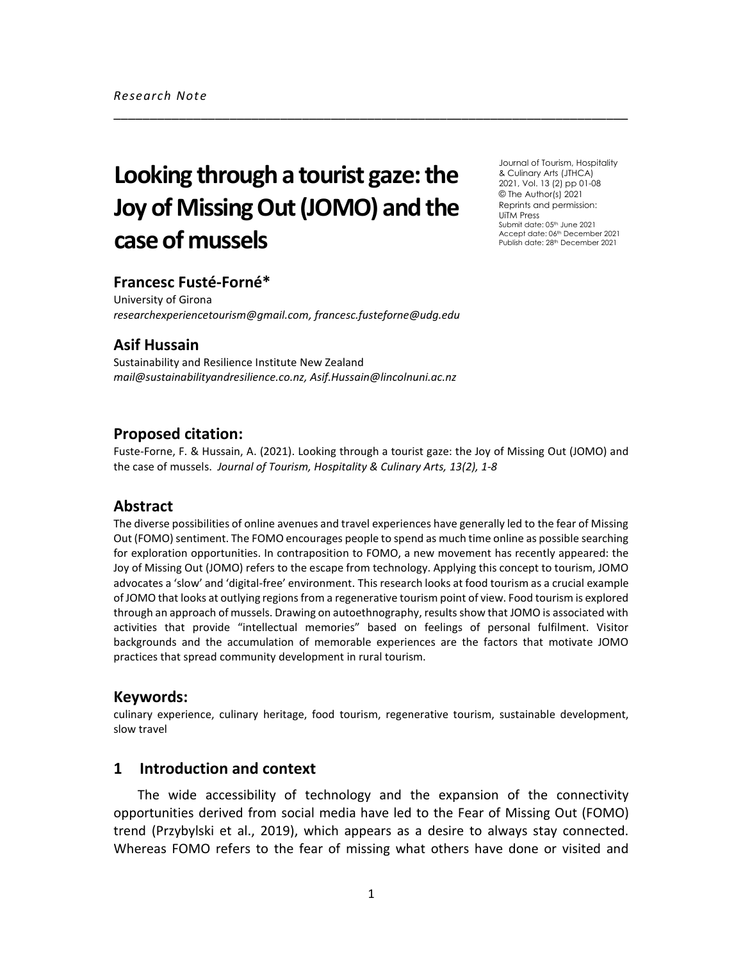# **Looking through a tourist gaze: the Joy of Missing Out (JOMO) and the case of mussels**

Journal of Tourism, Hospitality & Culinary Arts (JTHCA) 2021, Vol. 13 (2) pp 01-08 © The Author(s) 2021 Reprints and permission: UiTM Press Submit date: 05<sup>th</sup> June 2021 Accept date: 06th December 2021 Publish date: 28<sup>th</sup> December 2021

## **Francesc Fusté-Forné\***

University of Girona *researchexperiencetourism@gmail.com, francesc.fusteforne@udg.edu*

# **Asif Hussain**

Sustainability and Resilience Institute New Zealand *mail@sustainabilityandresilience.co.nz, Asif.Hussain@lincolnuni.ac.nz*

#### **Proposed citation:**

Fuste-Forne, F. & Hussain, A. (2021). Looking through a tourist gaze: the Joy of Missing Out (JOMO) and the case of mussels. *Journal of Tourism, Hospitality & Culinary Arts, 13(2), 1-8*

\_\_\_\_\_\_\_\_\_\_\_\_\_\_\_\_\_\_\_\_\_\_\_\_\_\_\_\_\_\_\_\_\_\_\_\_\_\_\_\_\_\_\_\_\_\_\_\_\_\_\_\_\_\_\_\_\_\_\_\_\_\_\_\_\_\_\_\_\_\_\_

#### **Abstract**

The diverse possibilities of online avenues and travel experiences have generally led to the fear of Missing Out (FOMO) sentiment. The FOMO encourages people to spend as much time online as possible searching for exploration opportunities. In contraposition to FOMO, a new movement has recently appeared: the Joy of Missing Out (JOMO) refers to the escape from technology. Applying this concept to tourism, JOMO advocates a 'slow' and 'digital-free' environment. This research looks at food tourism as a crucial example of JOMO that looks at outlying regions from a regenerative tourism point of view. Food tourism is explored through an approach of mussels. Drawing on autoethnography, results show that JOMO is associated with activities that provide "intellectual memories" based on feelings of personal fulfilment. Visitor backgrounds and the accumulation of memorable experiences are the factors that motivate JOMO practices that spread community development in rural tourism.

#### **Keywords:**

culinary experience, culinary heritage, food tourism, regenerative tourism, sustainable development, slow travel

## **1 Introduction and context**

The wide accessibility of technology and the expansion of the connectivity opportunities derived from social media have led to the Fear of Missing Out (FOMO) trend (Przybylski et al., 2019), which appears as a desire to always stay connected. Whereas FOMO refers to the fear of missing what others have done or visited and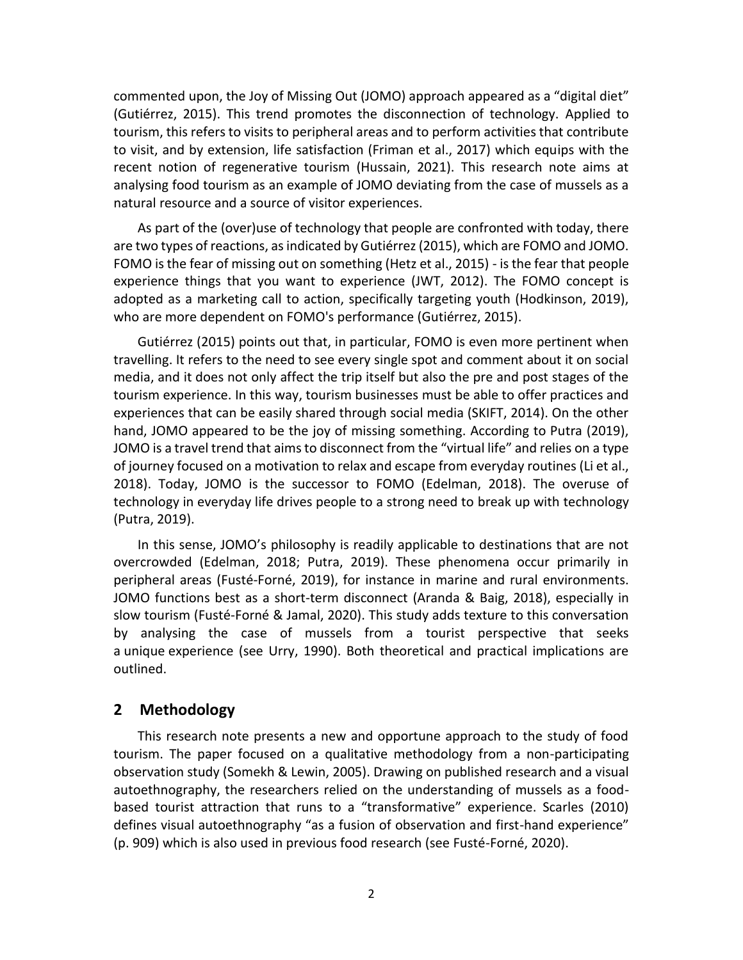commented upon, the Joy of Missing Out (JOMO) approach appeared as a "digital diet" (Gutiérrez, 2015). This trend promotes the disconnection of technology. Applied to tourism, this refers to visits to peripheral areas and to perform activities that contribute to visit, and by extension, life satisfaction (Friman et al., 2017) which equips with the recent notion of regenerative tourism (Hussain, 2021). This research note aims at analysing food tourism as an example of JOMO deviating from the case of mussels as a natural resource and a source of visitor experiences.

As part of the (over)use of technology that people are confronted with today, there are two types of reactions, as indicated by Gutiérrez (2015), which are FOMO and JOMO. FOMO is the fear of missing out on something (Hetz et al., 2015) - is the fear that people experience things that you want to experience (JWT, 2012). The FOMO concept is adopted as a marketing call to action, specifically targeting youth (Hodkinson, 2019), who are more dependent on FOMO's performance (Gutiérrez, 2015).

Gutiérrez (2015) points out that, in particular, FOMO is even more pertinent when travelling. It refers to the need to see every single spot and comment about it on social media, and it does not only affect the trip itself but also the pre and post stages of the tourism experience. In this way, tourism businesses must be able to offer practices and experiences that can be easily shared through social media (SKIFT, 2014). On the other hand, JOMO appeared to be the joy of missing something. According to Putra (2019), JOMO is a travel trend that aims to disconnect from the "virtual life" and relies on a type of journey focused on a motivation to relax and escape from everyday routines (Li et al., 2018). Today, JOMO is the successor to FOMO (Edelman, 2018). The overuse of technology in everyday life drives people to a strong need to break up with technology (Putra, 2019).

In this sense, JOMO's philosophy is readily applicable to destinations that are not overcrowded (Edelman, 2018; Putra, 2019). These phenomena occur primarily in peripheral areas (Fusté-Forné, 2019), for instance in marine and rural environments. JOMO functions best as a short-term disconnect (Aranda & Baig, 2018), especially in slow tourism (Fusté-Forné & Jamal, 2020). This study adds texture to this conversation by analysing the case of mussels from a tourist perspective that seeks a unique experience (see Urry, 1990). Both theoretical and practical implications are outlined.

#### **2 Methodology**

This research note presents a new and opportune approach to the study of food tourism. The paper focused on a qualitative methodology from a non-participating observation study (Somekh & Lewin, 2005). Drawing on published research and a visual autoethnography, the researchers relied on the understanding of mussels as a foodbased tourist attraction that runs to a "transformative" experience. Scarles (2010) defines visual autoethnography "as a fusion of observation and first-hand experience" (p. 909) which is also used in previous food research (see Fusté-Forné, 2020).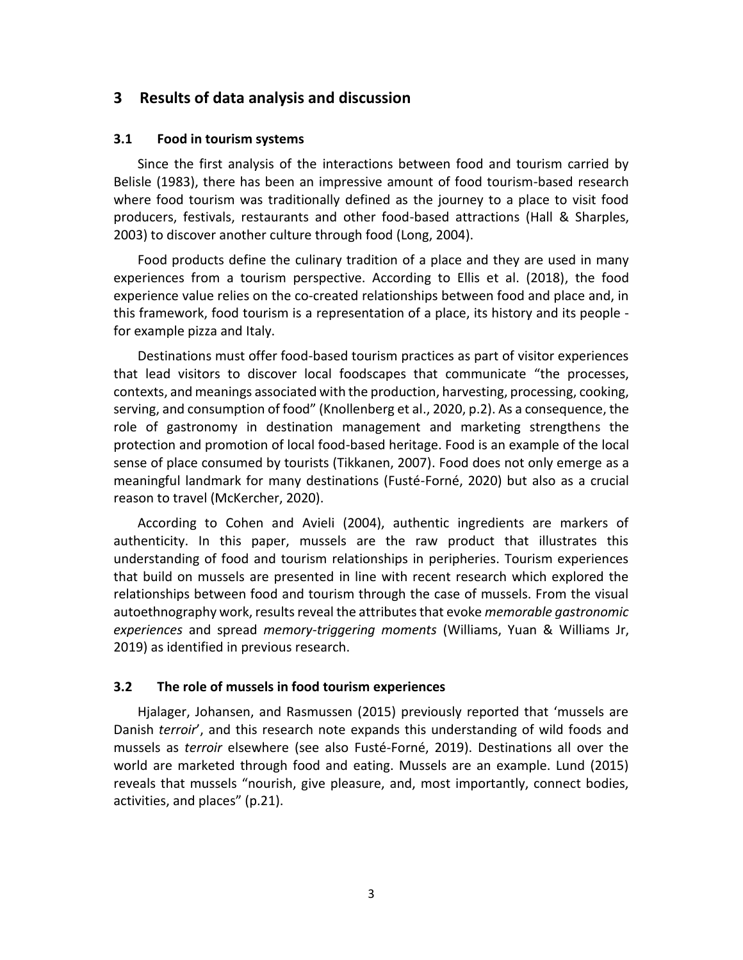# **3 Results of data analysis and discussion**

#### **3.1 Food in tourism systems**

Since the first analysis of the interactions between food and tourism carried by Belisle (1983), there has been an impressive amount of food tourism-based research where food tourism was traditionally defined as the journey to a place to visit food producers, festivals, restaurants and other food-based attractions (Hall & Sharples, 2003) to discover another culture through food (Long, 2004).

Food products define the culinary tradition of a place and they are used in many experiences from a tourism perspective. According to Ellis et al. (2018), the food experience value relies on the co-created relationships between food and place and, in this framework, food tourism is a representation of a place, its history and its people for example pizza and Italy.

Destinations must offer food-based tourism practices as part of visitor experiences that lead visitors to discover local foodscapes that communicate "the processes, contexts, and meanings associated with the production, harvesting, processing, cooking, serving, and consumption of food" (Knollenberg et al., 2020, p.2). As a consequence, the role of gastronomy in destination management and marketing strengthens the protection and promotion of local food-based heritage. Food is an example of the local sense of place consumed by tourists (Tikkanen, 2007). Food does not only emerge as a meaningful landmark for many destinations (Fusté-Forné, 2020) but also as a crucial reason to travel (McKercher, 2020).

According to Cohen and Avieli (2004), authentic ingredients are markers of authenticity. In this paper, mussels are the raw product that illustrates this understanding of food and tourism relationships in peripheries. Tourism experiences that build on mussels are presented in line with recent research which explored the relationships between food and tourism through the case of mussels. From the visual autoethnography work, results reveal the attributes that evoke *memorable gastronomic experiences* and spread *memory-triggering moments* (Williams, Yuan & Williams Jr, 2019) as identified in previous research.

#### **3.2 The role of mussels in food tourism experiences**

Hjalager, Johansen, and Rasmussen (2015) previously reported that 'mussels are Danish *terroir*', and this research note expands this understanding of wild foods and mussels as *terroir* elsewhere (see also Fusté-Forné, 2019). Destinations all over the world are marketed through food and eating. Mussels are an example. Lund (2015) reveals that mussels "nourish, give pleasure, and, most importantly, connect bodies, activities, and places" (p.21).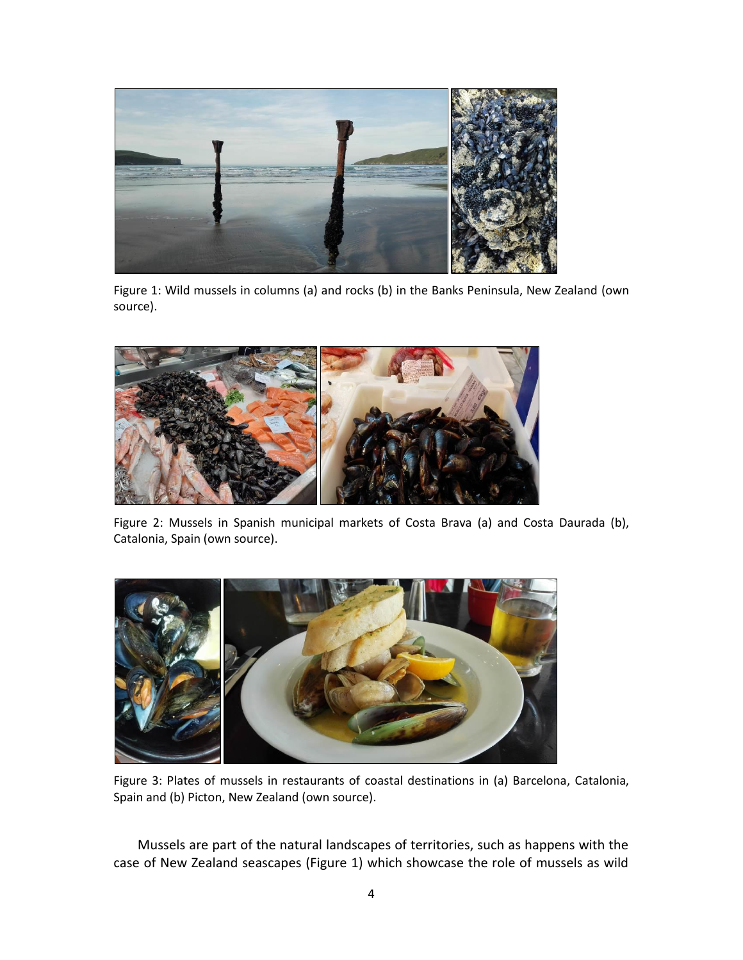

Figure 1: Wild mussels in columns (a) and rocks (b) in the Banks Peninsula, New Zealand (own source).



Figure 2: Mussels in Spanish municipal markets of Costa Brava (a) and Costa Daurada (b), Catalonia, Spain (own source).



Figure 3: Plates of mussels in restaurants of coastal destinations in (a) Barcelona, Catalonia, Spain and (b) Picton, New Zealand (own source).

Mussels are part of the natural landscapes of territories, such as happens with the case of New Zealand seascapes (Figure 1) which showcase the role of mussels as wild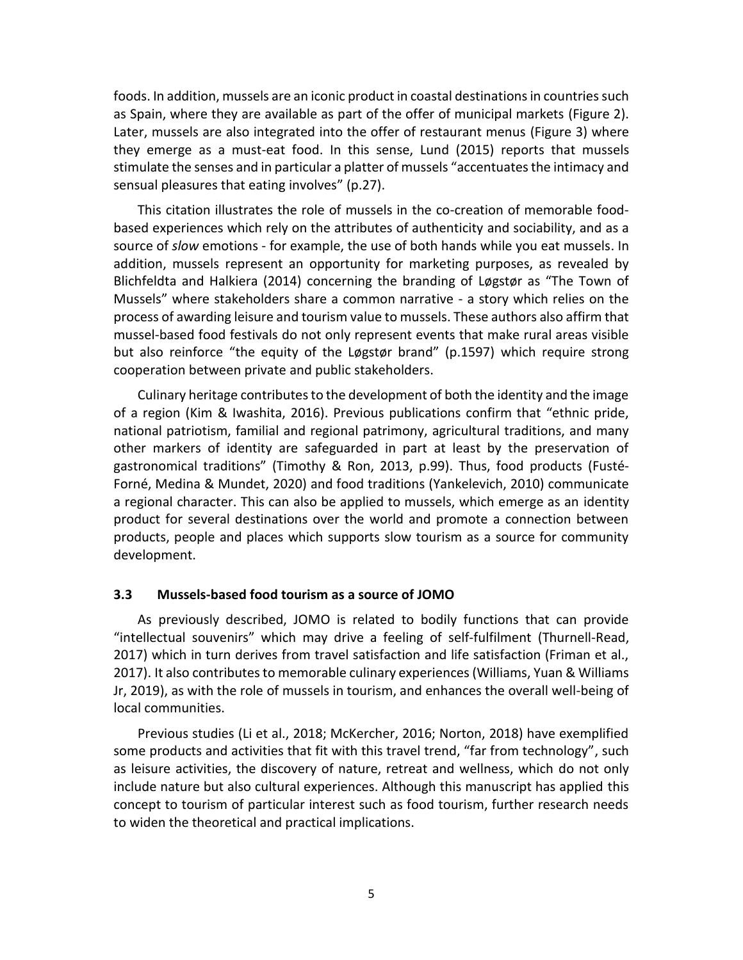foods. In addition, mussels are an iconic product in coastal destinations in countries such as Spain, where they are available as part of the offer of municipal markets (Figure 2). Later, mussels are also integrated into the offer of restaurant menus (Figure 3) where they emerge as a must-eat food. In this sense, Lund (2015) reports that mussels stimulate the senses and in particular a platter of mussels "accentuates the intimacy and sensual pleasures that eating involves" (p.27).

This citation illustrates the role of mussels in the co-creation of memorable foodbased experiences which rely on the attributes of authenticity and sociability, and as a source of *slow* emotions - for example, the use of both hands while you eat mussels. In addition, mussels represent an opportunity for marketing purposes, as revealed by Blichfeldta and Halkiera (2014) concerning the branding of Løgstør as "The Town of Mussels" where stakeholders share a common narrative - a story which relies on the process of awarding leisure and tourism value to mussels. These authors also affirm that mussel-based food festivals do not only represent events that make rural areas visible but also reinforce "the equity of the Løgstør brand" (p.1597) which require strong cooperation between private and public stakeholders.

Culinary heritage contributes to the development of both the identity and the image of a region (Kim & Iwashita, 2016). Previous publications confirm that "ethnic pride, national patriotism, familial and regional patrimony, agricultural traditions, and many other markers of identity are safeguarded in part at least by the preservation of gastronomical traditions" (Timothy & Ron, 2013, p.99). Thus, food products (Fusté-Forné, Medina & Mundet, 2020) and food traditions (Yankelevich, 2010) communicate a regional character. This can also be applied to mussels, which emerge as an identity product for several destinations over the world and promote a connection between products, people and places which supports slow tourism as a source for community development.

#### **3.3 Mussels-based food tourism as a source of JOMO**

As previously described, JOMO is related to bodily functions that can provide "intellectual souvenirs" which may drive a feeling of self-fulfilment (Thurnell-Read, 2017) which in turn derives from travel satisfaction and life satisfaction (Friman et al., 2017). It also contributes to memorable culinary experiences (Williams, Yuan & Williams Jr, 2019), as with the role of mussels in tourism, and enhances the overall well-being of local communities.

Previous studies (Li et al., 2018; McKercher, 2016; Norton, 2018) have exemplified some products and activities that fit with this travel trend, "far from technology", such as leisure activities, the discovery of nature, retreat and wellness, which do not only include nature but also cultural experiences. Although this manuscript has applied this concept to tourism of particular interest such as food tourism, further research needs to widen the theoretical and practical implications.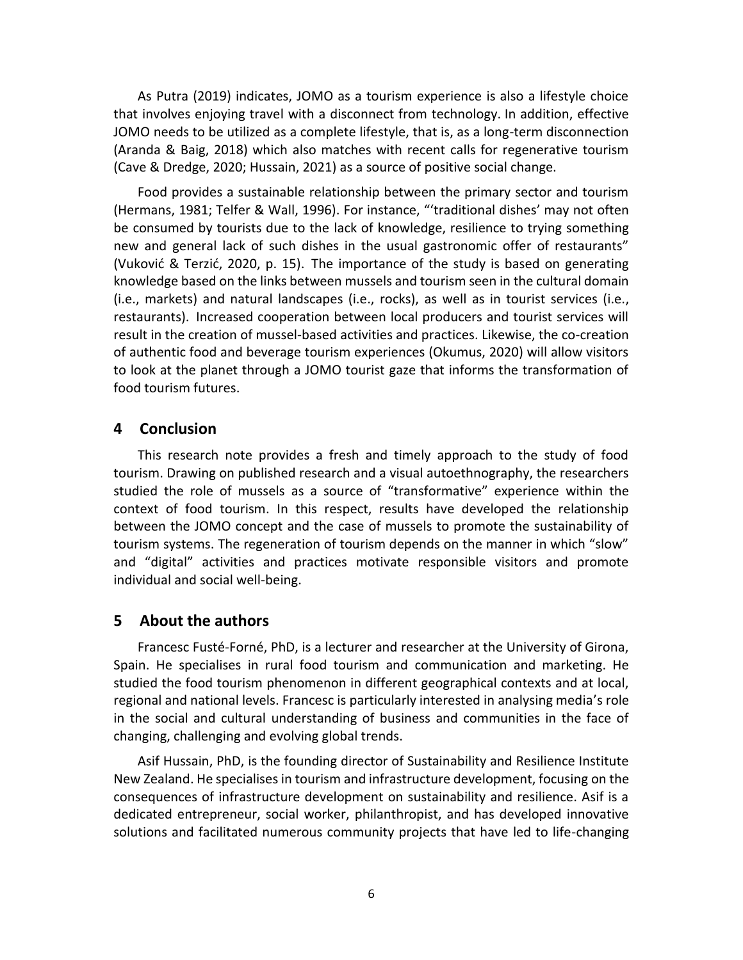As Putra (2019) indicates, JOMO as a tourism experience is also a lifestyle choice that involves enjoying travel with a disconnect from technology. In addition, effective JOMO needs to be utilized as a complete lifestyle, that is, as a long-term disconnection (Aranda & Baig, 2018) which also matches with recent calls for regenerative tourism (Cave & Dredge, 2020; Hussain, 2021) as a source of positive social change.

Food provides a sustainable relationship between the primary sector and tourism (Hermans, 1981; Telfer & Wall, 1996). For instance, "'traditional dishes' may not often be consumed by tourists due to the lack of knowledge, resilience to trying something new and general lack of such dishes in the usual gastronomic offer of restaurants" (Vuković & Terzić, 2020, p. 15). The importance of the study is based on generating knowledge based on the links between mussels and tourism seen in the cultural domain (i.e., markets) and natural landscapes (i.e., rocks), as well as in tourist services (i.e., restaurants). Increased cooperation between local producers and tourist services will result in the creation of mussel-based activities and practices. Likewise, the co-creation of authentic food and beverage tourism experiences (Okumus, 2020) will allow visitors to look at the planet through a JOMO tourist gaze that informs the transformation of food tourism futures.

## **4 Conclusion**

This research note provides a fresh and timely approach to the study of food tourism. Drawing on published research and a visual autoethnography, the researchers studied the role of mussels as a source of "transformative" experience within the context of food tourism. In this respect, results have developed the relationship between the JOMO concept and the case of mussels to promote the sustainability of tourism systems. The regeneration of tourism depends on the manner in which "slow" and "digital" activities and practices motivate responsible visitors and promote individual and social well-being.

## **5 About the authors**

Francesc Fusté-Forné, PhD, is a lecturer and researcher at the University of Girona, Spain. He specialises in rural food tourism and communication and marketing. He studied the food tourism phenomenon in different geographical contexts and at local, regional and national levels. Francesc is particularly interested in analysing media's role in the social and cultural understanding of business and communities in the face of changing, challenging and evolving global trends.

Asif Hussain, PhD, is the founding director of Sustainability and Resilience Institute New Zealand. He specialises in tourism and infrastructure development, focusing on the consequences of infrastructure development on sustainability and resilience. Asif is a dedicated entrepreneur, social worker, philanthropist, and has developed innovative solutions and facilitated numerous community projects that have led to life-changing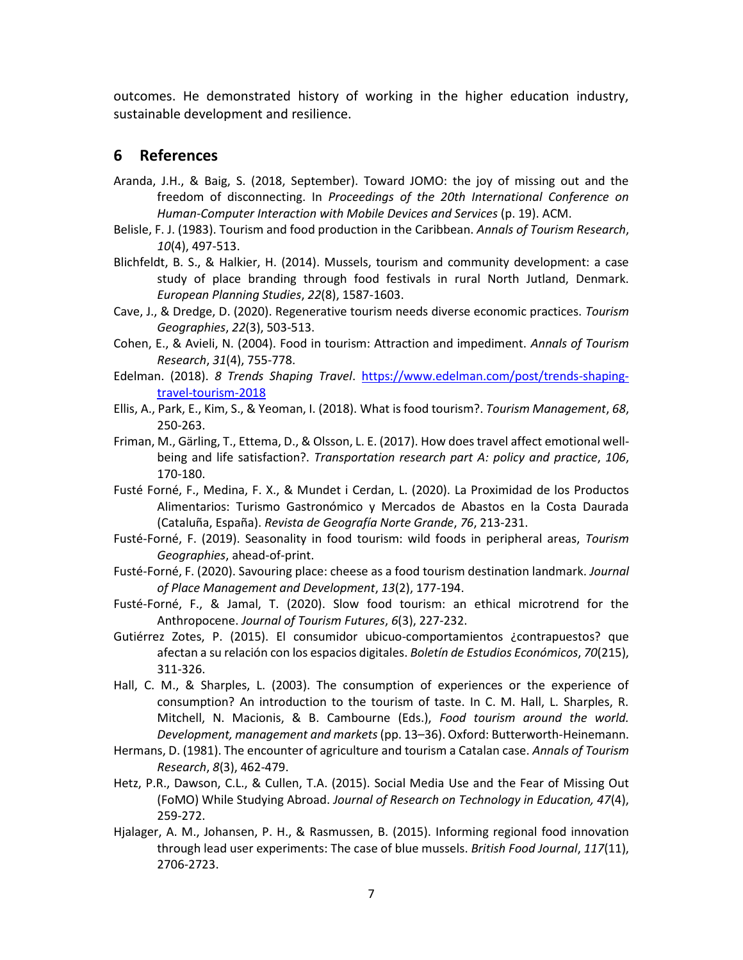outcomes. He demonstrated history of working in the higher education industry, sustainable development and resilience.

# **6 References**

- Aranda, J.H., & Baig, S. (2018, September). Toward JOMO: the joy of missing out and the freedom of disconnecting. In *Proceedings of the 20th International Conference on Human-Computer Interaction with Mobile Devices and Services* (p. 19). ACM.
- Belisle, F. J. (1983). Tourism and food production in the Caribbean. *Annals of Tourism Research*, *10*(4), 497-513.
- Blichfeldt, B. S., & Halkier, H. (2014). Mussels, tourism and community development: a case study of place branding through food festivals in rural North Jutland, Denmark. *European Planning Studies*, *22*(8), 1587-1603.
- Cave, J., & Dredge, D. (2020). Regenerative tourism needs diverse economic practices. *Tourism Geographies*, *22*(3), 503-513.
- Cohen, E., & Avieli, N. (2004). Food in tourism: Attraction and impediment. *Annals of Tourism Research*, *31*(4), 755-778.
- Edelman. (2018). *8 Trends Shaping Travel*. [https://www.edelman.com/post/trends-shaping](https://www.edelman.com/post/trends-shaping-travel-tourism-2018)[travel-tourism-2018](https://www.edelman.com/post/trends-shaping-travel-tourism-2018)
- Ellis, A., Park, E., Kim, S., & Yeoman, I. (2018). What is food tourism?. *Tourism Management*, *68*, 250-263.
- Friman, M., Gärling, T., Ettema, D., & Olsson, L. E. (2017). How does travel affect emotional wellbeing and life satisfaction?. *Transportation research part A: policy and practice*, *106*, 170-180.
- Fusté Forné, F., Medina, F. X., & Mundet i Cerdan, L. (2020). La Proximidad de los Productos Alimentarios: Turismo Gastronómico y Mercados de Abastos en la Costa Daurada (Cataluña, España). *Revista de Geografía Norte Grande*, *76*, 213-231.
- Fusté-Forné, F. (2019). Seasonality in food tourism: wild foods in peripheral areas, *Tourism Geographies*, ahead-of-print.
- Fusté-Forné, F. (2020). Savouring place: cheese as a food tourism destination landmark. *Journal of Place Management and Development*, *13*(2), 177-194.
- Fusté-Forné, F., & Jamal, T. (2020). Slow food tourism: an ethical microtrend for the Anthropocene. *Journal of Tourism Futures*, *6*(3), 227-232.
- Gutiérrez Zotes, P. (2015). El consumidor ubicuo-comportamientos ¿contrapuestos? que afectan a su relación con los espacios digitales. *Boletín de Estudios Económicos*, *70*(215), 311-326.
- Hall, C. M., & Sharples, L. (2003). The consumption of experiences or the experience of consumption? An introduction to the tourism of taste. In C. M. Hall, L. Sharples, R. Mitchell, N. Macionis, & B. Cambourne (Eds.), *Food tourism around the world. Development, management and markets*(pp. 13–36). Oxford: Butterworth-Heinemann.
- Hermans, D. (1981). The encounter of agriculture and tourism a Catalan case. *Annals of Tourism Research*, *8*(3), 462-479.
- Hetz, P.R., Dawson, C.L., & Cullen, T.A. (2015). Social Media Use and the Fear of Missing Out (FoMO) While Studying Abroad. *Journal of Research on Technology in Education, 47*(4), 259-272.
- Hjalager, A. M., Johansen, P. H., & Rasmussen, B. (2015). Informing regional food innovation through lead user experiments: The case of blue mussels. *British Food Journal*, *117*(11), 2706-2723.